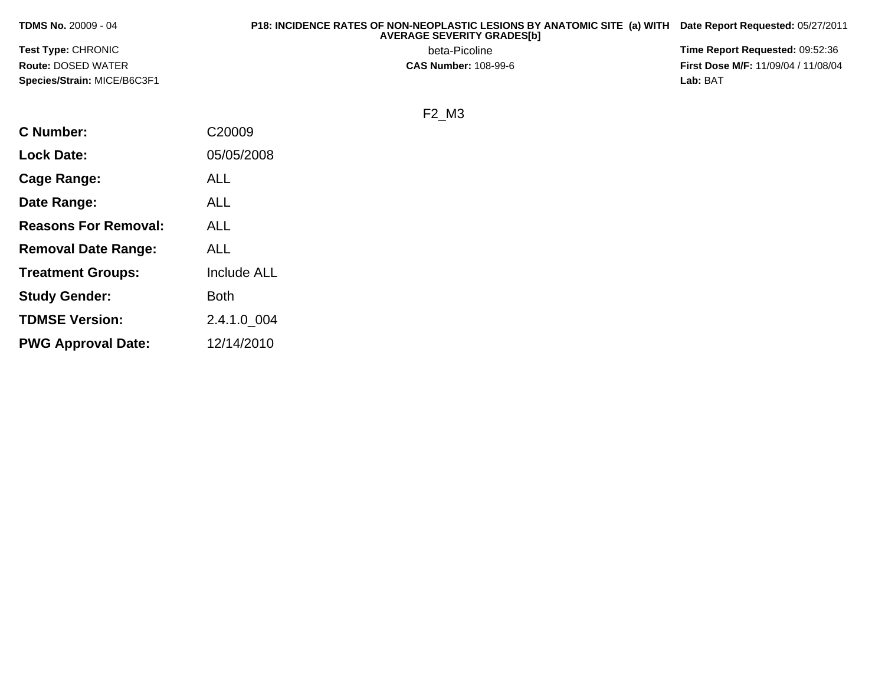| <b>TDMS No. 20009 - 04</b>         | P18: INCIDENCE RATES OF NON-NEOPLASTIC LESIONS BY ANATOMIC SITE (a) WITH Date Report Requested: 05/27/2011<br><b>AVERAGE SEVERITY GRADES[b]</b> |                                            |
|------------------------------------|-------------------------------------------------------------------------------------------------------------------------------------------------|--------------------------------------------|
| <b>Test Type: CHRONIC</b>          | beta-Picoline                                                                                                                                   | <b>Time Report Requested: 09:52:36</b>     |
| <b>Route: DOSED WATER</b>          | <b>CAS Number: 108-99-6</b>                                                                                                                     | <b>First Dose M/F: 11/09/04 / 11/08/04</b> |
| <b>Species/Strain: MICE/B6C3F1</b> |                                                                                                                                                 | Lab: BAT                                   |

## F2\_M3

| <b>C</b> Number:            | C20009             |
|-----------------------------|--------------------|
| <b>Lock Date:</b>           | 05/05/2008         |
| Cage Range:                 | <b>ALL</b>         |
| Date Range:                 | ALL                |
| <b>Reasons For Removal:</b> | ALL                |
| <b>Removal Date Range:</b>  | <b>ALL</b>         |
| <b>Treatment Groups:</b>    | <b>Include ALL</b> |
| <b>Study Gender:</b>        | <b>Both</b>        |
| <b>TDMSE Version:</b>       | 2.4.1.0 004        |
| <b>PWG Approval Date:</b>   | 12/14/2010         |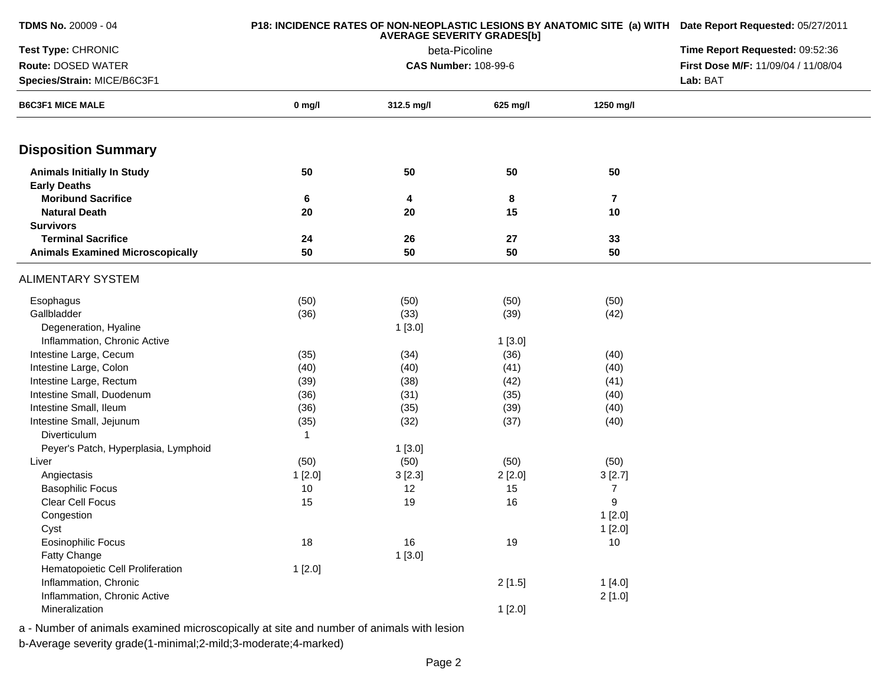| <b>TDMS No. 20009 - 04</b>              |          | P18: INCIDENCE RATES OF NON-NEOPLASTIC LESIONS BY ANATOMIC SITE (a) WITH Date Report Requested: 05/27/2011 |          |                  |  |  |
|-----------------------------------------|----------|------------------------------------------------------------------------------------------------------------|----------|------------------|--|--|
| Test Type: CHRONIC                      |          | Time Report Requested: 09:52:36                                                                            |          |                  |  |  |
| Route: DOSED WATER                      |          | beta-Picoline<br><b>CAS Number: 108-99-6</b>                                                               |          |                  |  |  |
| Species/Strain: MICE/B6C3F1             |          | Lab: BAT                                                                                                   |          |                  |  |  |
| <b>B6C3F1 MICE MALE</b>                 | $0$ mg/l | 312.5 mg/l                                                                                                 | 625 mg/l | 1250 mg/l        |  |  |
| <b>Disposition Summary</b>              |          |                                                                                                            |          |                  |  |  |
| <b>Animals Initially In Study</b>       | 50       | 50                                                                                                         | 50       | 50               |  |  |
| <b>Early Deaths</b>                     |          |                                                                                                            |          |                  |  |  |
| <b>Moribund Sacrifice</b>               | 6        | 4                                                                                                          | 8        | 7                |  |  |
| <b>Natural Death</b>                    | 20       | 20                                                                                                         | 15       | 10               |  |  |
| <b>Survivors</b>                        |          |                                                                                                            |          |                  |  |  |
| <b>Terminal Sacrifice</b>               | 24       | 26                                                                                                         | 27       | 33               |  |  |
| <b>Animals Examined Microscopically</b> | 50       | 50                                                                                                         | 50       | 50               |  |  |
| <b>ALIMENTARY SYSTEM</b>                |          |                                                                                                            |          |                  |  |  |
| Esophagus                               | (50)     | (50)                                                                                                       | (50)     | (50)             |  |  |
| Gallbladder                             | (36)     | (33)                                                                                                       | (39)     | (42)             |  |  |
| Degeneration, Hyaline                   |          | 1[3.0]                                                                                                     |          |                  |  |  |
| Inflammation, Chronic Active            |          |                                                                                                            | 1[3.0]   |                  |  |  |
| Intestine Large, Cecum                  | (35)     | (34)                                                                                                       | (36)     | (40)             |  |  |
| Intestine Large, Colon                  | (40)     | (40)                                                                                                       | (41)     | (40)             |  |  |
| Intestine Large, Rectum                 | (39)     | (38)                                                                                                       | (42)     | (41)             |  |  |
| Intestine Small, Duodenum               | (36)     | (31)                                                                                                       | (35)     | (40)             |  |  |
| Intestine Small, Ileum                  | (36)     | (35)                                                                                                       | (39)     | (40)             |  |  |
| Intestine Small, Jejunum                | (35)     | (32)                                                                                                       | (37)     | (40)             |  |  |
| Diverticulum                            | 1        |                                                                                                            |          |                  |  |  |
| Peyer's Patch, Hyperplasia, Lymphoid    |          | 1[3.0]                                                                                                     |          |                  |  |  |
| Liver                                   | (50)     | (50)                                                                                                       | (50)     | (50)             |  |  |
| Angiectasis                             | 1[2.0]   | 3[2.3]                                                                                                     | 2[2.0]   | 3[2.7]           |  |  |
| <b>Basophilic Focus</b>                 | 10       | 12                                                                                                         | 15       | 7                |  |  |
| Clear Cell Focus                        | 15       | 19                                                                                                         | 16       | $\boldsymbol{9}$ |  |  |
| Congestion                              |          |                                                                                                            |          | 1[2.0]           |  |  |
| Cyst                                    |          |                                                                                                            |          | 1[2.0]           |  |  |
| <b>Eosinophilic Focus</b>               | 18       | 16                                                                                                         | 19       | 10               |  |  |
| Fatty Change                            |          | 1[3.0]                                                                                                     |          |                  |  |  |
| Hematopoietic Cell Proliferation        | 1[2.0]   |                                                                                                            |          |                  |  |  |
| Inflammation, Chronic                   |          |                                                                                                            | 2[1.5]   | 1[4.0]           |  |  |
| Inflammation, Chronic Active            |          |                                                                                                            |          | 2[1.0]           |  |  |
| Mineralization                          |          |                                                                                                            | 1[2.0]   |                  |  |  |

a - Number of animals examined microscopically at site and number of animals with lesion

b-Average severity grade(1-minimal;2-mild;3-moderate;4-marked)

**TDMS No.** 20009 - 04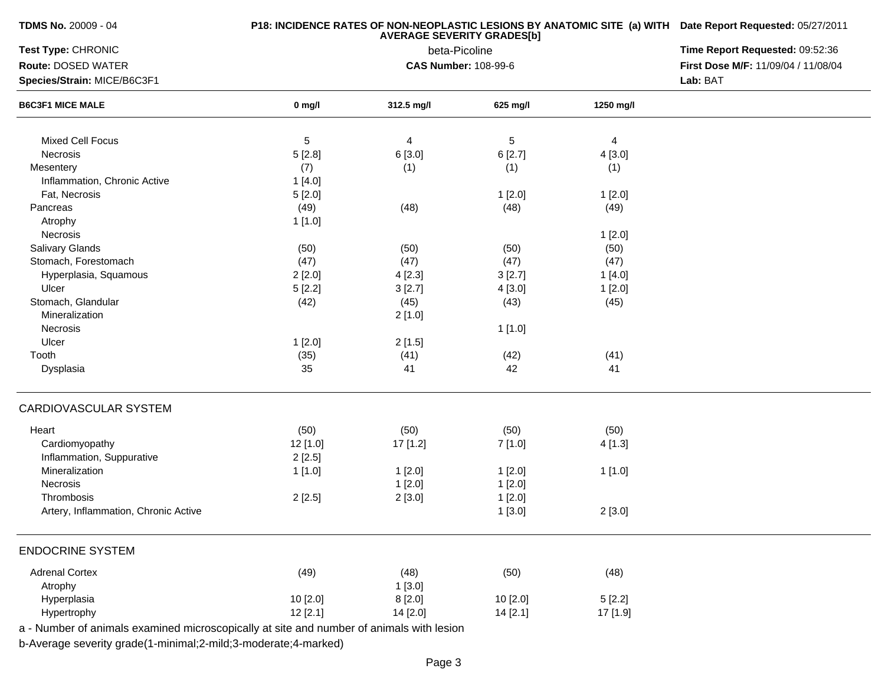| <b>TDMS No. 20009 - 04</b>                                                               |          | P18: INCIDENCE RATES OF NON-NEOPLASTIC LESIONS BY ANATOMIC SITE (a) WITH Date Report Requested: 05/27/2011 |               |                |                                     |
|------------------------------------------------------------------------------------------|----------|------------------------------------------------------------------------------------------------------------|---------------|----------------|-------------------------------------|
| Test Type: CHRONIC                                                                       |          | Time Report Requested: 09:52:36                                                                            |               |                |                                     |
| Route: DOSED WATER                                                                       |          | <b>CAS Number: 108-99-6</b>                                                                                | beta-Picoline |                | First Dose M/F: 11/09/04 / 11/08/04 |
| Species/Strain: MICE/B6C3F1                                                              |          |                                                                                                            |               |                | Lab: BAT                            |
| <b>B6C3F1 MICE MALE</b>                                                                  | $0$ mg/l | 312.5 mg/l                                                                                                 | 625 mg/l      | 1250 mg/l      |                                     |
| <b>Mixed Cell Focus</b>                                                                  | 5        | $\overline{4}$                                                                                             | 5             | $\overline{4}$ |                                     |
| Necrosis                                                                                 | 5[2.8]   | 6 [3.0]                                                                                                    | 6[2.7]        | 4 [3.0]        |                                     |
| Mesentery                                                                                | (7)      | (1)                                                                                                        | (1)           | (1)            |                                     |
| Inflammation, Chronic Active                                                             | 1[4.0]   |                                                                                                            |               |                |                                     |
| Fat, Necrosis                                                                            | 5[2.0]   |                                                                                                            | 1[2.0]        | 1[2.0]         |                                     |
| Pancreas                                                                                 | (49)     | (48)                                                                                                       | (48)          | (49)           |                                     |
| Atrophy                                                                                  | 1[1.0]   |                                                                                                            |               |                |                                     |
| Necrosis                                                                                 |          |                                                                                                            |               | 1[2.0]         |                                     |
| Salivary Glands                                                                          | (50)     | (50)                                                                                                       | (50)          | (50)           |                                     |
| Stomach, Forestomach                                                                     | (47)     | (47)                                                                                                       | (47)          | (47)           |                                     |
| Hyperplasia, Squamous                                                                    |          |                                                                                                            |               |                |                                     |
| Ulcer                                                                                    | 2[2.0]   | 4[2.3]                                                                                                     | 3[2.7]        | 1[4.0]         |                                     |
| Stomach, Glandular                                                                       | 5[2.2]   | 3[2.7]                                                                                                     | 4[3.0]        | 1[2.0]         |                                     |
|                                                                                          | (42)     | (45)                                                                                                       | (43)          | (45)           |                                     |
| Mineralization                                                                           |          | 2[1.0]                                                                                                     |               |                |                                     |
| Necrosis                                                                                 |          |                                                                                                            | 1[1.0]        |                |                                     |
| Ulcer                                                                                    | 1[2.0]   | 2[1.5]                                                                                                     |               |                |                                     |
| Tooth                                                                                    | (35)     | (41)                                                                                                       | (42)          | (41)           |                                     |
| Dysplasia                                                                                | 35       | 41                                                                                                         | 42            | 41             |                                     |
| CARDIOVASCULAR SYSTEM                                                                    |          |                                                                                                            |               |                |                                     |
| Heart                                                                                    | (50)     | (50)                                                                                                       | (50)          | (50)           |                                     |
| Cardiomyopathy                                                                           | 12 [1.0] | 17 [1.2]                                                                                                   | 7[1.0]        | 4 [1.3]        |                                     |
| Inflammation, Suppurative                                                                | 2[2.5]   |                                                                                                            |               |                |                                     |
| Mineralization                                                                           | 1 [1.0]  | 1[2.0]                                                                                                     | 1[2.0]        | 1 [1.0]        |                                     |
| Necrosis                                                                                 |          | 1[2.0]                                                                                                     | 1[2.0]        |                |                                     |
| Thrombosis                                                                               | 2[2.5]   | 2[3.0]                                                                                                     | 1[2.0]        |                |                                     |
| Artery, Inflammation, Chronic Active                                                     |          |                                                                                                            | 1[3.0]        | 2[3.0]         |                                     |
|                                                                                          |          |                                                                                                            |               |                |                                     |
| <b>ENDOCRINE SYSTEM</b>                                                                  |          |                                                                                                            |               |                |                                     |
| <b>Adrenal Cortex</b>                                                                    | (49)     | (48)                                                                                                       | (50)          | (48)           |                                     |
| Atrophy                                                                                  |          | 1[3.0]                                                                                                     |               |                |                                     |
| Hyperplasia                                                                              | 10 [2.0] | 8[2.0]                                                                                                     | 10 [2.0]      | 5[2.2]         |                                     |
| Hypertrophy                                                                              | 12[2.1]  | 14 [2.0]                                                                                                   | 14 [2.1]      | 17 [1.9]       |                                     |
| a - Number of animals examined microscopically at site and number of animals with lesion |          |                                                                                                            |               |                |                                     |

b-Average severity grade(1-minimal;2-mild;3-moderate;4-marked)

**TDMS No.** 20009 - 04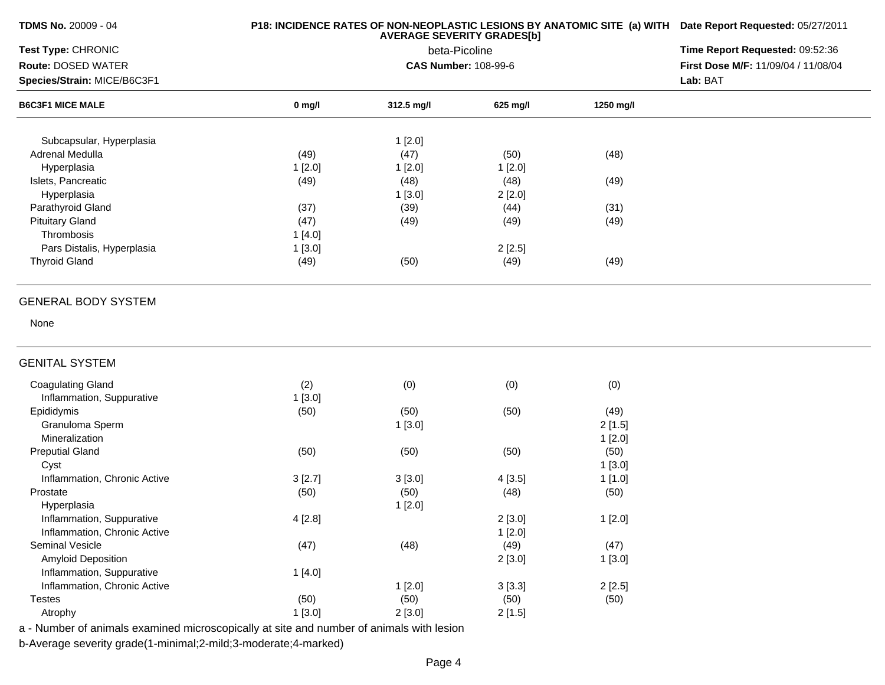**TDMS No.** 20009 - 04

## **P18: INCIDENCE RATES OF NON-NEOPLASTIC LESIONS BY ANATOMIC SITE (a) WITH AVERAGE SEVERITY GRADES[b]Date Report Requested:** 05/27/2011

| Test Type: CHRONIC                                          |          | Time Report Requested: 09:52:36                   |          |                                     |          |
|-------------------------------------------------------------|----------|---------------------------------------------------|----------|-------------------------------------|----------|
| Route: DOSED WATER                                          |          | <b>CAS Number: 108-99-6</b>                       |          | First Dose M/F: 11/09/04 / 11/08/04 |          |
| Species/Strain: MICE/B6C3F1                                 |          |                                                   |          |                                     | Lab: BAT |
| <b>B6C3F1 MICE MALE</b>                                     | $0$ mg/l | 312.5 mg/l                                        | 625 mg/l | 1250 mg/l                           |          |
| Subcapsular, Hyperplasia                                    |          | 1[2.0]                                            |          |                                     |          |
| Adrenal Medulla                                             | (49)     | (47)                                              | (50)     | (48)                                |          |
| Hyperplasia                                                 | 1[2.0]   | 1[2.0]                                            | 1[2.0]   |                                     |          |
| Islets, Pancreatic                                          | (49)     | (48)                                              | (48)     | (49)                                |          |
| Hyperplasia                                                 |          | 1[3.0]                                            | 2[2.0]   |                                     |          |
| Parathyroid Gland                                           | (37)     | (39)                                              | (44)     | (31)                                |          |
| <b>Pituitary Gland</b>                                      | (47)     | (49)                                              | (49)     | (49)                                |          |
| Thrombosis                                                  | 1[4.0]   |                                                   |          |                                     |          |
| Pars Distalis, Hyperplasia                                  | 1[3.0]   |                                                   | 2[2.5]   |                                     |          |
| <b>Thyroid Gland</b>                                        | (49)     | (50)                                              | (49)     | (49)                                |          |
|                                                             |          |                                                   |          |                                     |          |
| <b>GENERAL BODY SYSTEM</b>                                  |          |                                                   |          |                                     |          |
| None                                                        |          |                                                   |          |                                     |          |
| <b>GENITAL SYSTEM</b>                                       |          |                                                   |          |                                     |          |
| <b>Coagulating Gland</b>                                    | (2)      | (0)                                               | (0)      | (0)                                 |          |
| Inflammation, Suppurative                                   | 1[3.0]   |                                                   |          |                                     |          |
| Epididymis                                                  | (50)     | (50)                                              | (50)     | (49)                                |          |
| Granuloma Sperm                                             |          | 1[3.0]                                            |          | 2[1.5]                              |          |
| Mineralization                                              |          |                                                   |          | 1[2.0]                              |          |
| <b>Preputial Gland</b>                                      | (50)     | (50)                                              | (50)     | (50)                                |          |
| Cyst                                                        |          |                                                   |          | 1[3.0]                              |          |
| Inflammation, Chronic Active                                | 3[2.7]   | 3[3.0]                                            | 4[3.5]   | 1[1.0]                              |          |
| Prostate                                                    | (50)     | (50)                                              | (48)     | (50)                                |          |
| Hyperplasia                                                 |          | 1[2.0]                                            |          |                                     |          |
| Inflammation, Suppurative                                   | 4[2.8]   |                                                   | 2[3.0]   | 1[2.0]                              |          |
| Inflammation, Chronic Active                                |          |                                                   | 1[2.0]   |                                     |          |
| Seminal Vesicle                                             | (47)     | (48)                                              | (49)     | (47)                                |          |
| <b>Amyloid Deposition</b>                                   |          |                                                   | 2[3.0]   | 1[3.0]                              |          |
| Inflammation, Suppurative                                   | 1[4.0]   |                                                   |          |                                     |          |
| Inflammation, Chronic Active                                |          | 1[2.0]                                            | 3[3.3]   | 2[2.5]                              |          |
| <b>Testes</b>                                               | (50)     | (50)                                              | (50)     | (50)                                |          |
|                                                             |          |                                                   |          |                                     |          |
| Atrophy<br>animale overningd microsoppically of oite and nu | 1[3.0]   | 2[3.0]<br>ومتحدم والمائين والمموزورة فمروم والمور | 2[1.5]   |                                     |          |

a - Number of animals examined microscopically at site and number of animals with lesion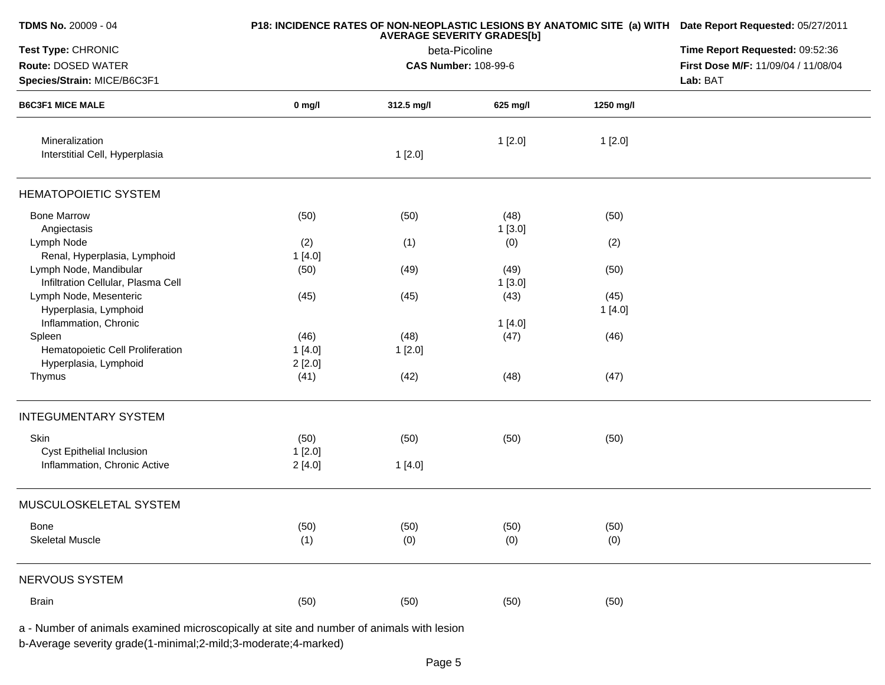| TDMS No. 20009 - 04                                          |                  | P18: INCIDENCE RATES OF NON-NEOPLASTIC LESIONS BY ANATOMIC SITE (a) WITH Date Report Requested: 05/27/2011 |                                     |                 |  |
|--------------------------------------------------------------|------------------|------------------------------------------------------------------------------------------------------------|-------------------------------------|-----------------|--|
| Test Type: CHRONIC                                           |                  | Time Report Requested: 09:52:36                                                                            |                                     |                 |  |
| Route: DOSED WATER                                           |                  |                                                                                                            | First Dose M/F: 11/09/04 / 11/08/04 |                 |  |
| Species/Strain: MICE/B6C3F1                                  |                  |                                                                                                            | Lab: BAT                            |                 |  |
| <b>B6C3F1 MICE MALE</b>                                      | $0$ mg/l         | 312.5 mg/l                                                                                                 | 625 mg/l                            | 1250 mg/l       |  |
| Mineralization<br>Interstitial Cell, Hyperplasia             |                  | 1[2.0]                                                                                                     | 1[2.0]                              | 1[2.0]          |  |
| <b>HEMATOPOIETIC SYSTEM</b>                                  |                  |                                                                                                            |                                     |                 |  |
| <b>Bone Marrow</b><br>Angiectasis                            | (50)             | (50)                                                                                                       | (48)<br>1[3.0]                      | (50)            |  |
| Lymph Node<br>Renal, Hyperplasia, Lymphoid                   | (2)<br>1[4.0]    | (1)                                                                                                        | (0)                                 | (2)             |  |
| Lymph Node, Mandibular<br>Infiltration Cellular, Plasma Cell | (50)             | (49)                                                                                                       | (49)<br>1[3.0]                      | (50)            |  |
| Lymph Node, Mesenteric<br>Hyperplasia, Lymphoid              | (45)             | (45)                                                                                                       | (43)                                | (45)<br>1 [4.0] |  |
| Inflammation, Chronic<br>Spleen                              | (46)             | (48)                                                                                                       | 1[4.0]<br>(47)                      | (46)            |  |
| Hematopoietic Cell Proliferation<br>Hyperplasia, Lymphoid    | 1[4.0]<br>2[2.0] | 1[2.0]                                                                                                     |                                     |                 |  |
| Thymus                                                       | (41)             | (42)                                                                                                       | (48)                                | (47)            |  |
| <b>INTEGUMENTARY SYSTEM</b>                                  |                  |                                                                                                            |                                     |                 |  |
| Skin<br>Cyst Epithelial Inclusion                            | (50)<br>1[2.0]   | (50)                                                                                                       | (50)                                | (50)            |  |
| Inflammation, Chronic Active                                 | 2[4.0]           | 1[4.0]                                                                                                     |                                     |                 |  |
| MUSCULOSKELETAL SYSTEM                                       |                  |                                                                                                            |                                     |                 |  |
| Bone<br><b>Skeletal Muscle</b>                               | (50)<br>(1)      | (50)<br>(0)                                                                                                | (50)<br>(0)                         | (50)<br>(0)     |  |
| NERVOUS SYSTEM                                               |                  |                                                                                                            |                                     |                 |  |
| <b>Brain</b>                                                 | (50)             | (50)                                                                                                       | (50)                                | (50)            |  |

a - Number of animals examined microscopically at site and number of animals with lesion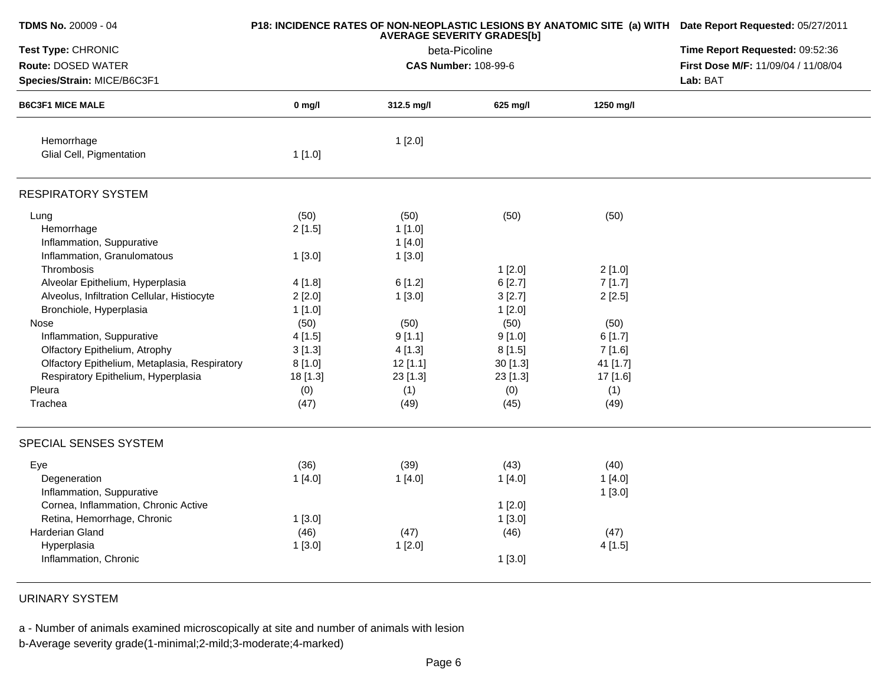| TDMS No. 20009 - 04                           |          | P18: INCIDENCE RATES OF NON-NEOPLASTIC LESIONS BY ANATOMIC SITE (a) WITH Date Report Requested: 05/27/2011<br>Time Report Requested: 09:52:36 |          |           |                                     |
|-----------------------------------------------|----------|-----------------------------------------------------------------------------------------------------------------------------------------------|----------|-----------|-------------------------------------|
| Test Type: CHRONIC                            |          |                                                                                                                                               |          |           |                                     |
| Route: DOSED WATER                            |          | <b>CAS Number: 108-99-6</b>                                                                                                                   |          |           | First Dose M/F: 11/09/04 / 11/08/04 |
| Species/Strain: MICE/B6C3F1                   |          |                                                                                                                                               |          |           | Lab: BAT                            |
| <b>B6C3F1 MICE MALE</b>                       | $0$ mg/l | 312.5 mg/l                                                                                                                                    | 625 mg/l | 1250 mg/l |                                     |
| Hemorrhage                                    |          | 1[2.0]                                                                                                                                        |          |           |                                     |
| Glial Cell, Pigmentation                      | 1[1.0]   |                                                                                                                                               |          |           |                                     |
| <b>RESPIRATORY SYSTEM</b>                     |          |                                                                                                                                               |          |           |                                     |
| Lung                                          | (50)     | (50)                                                                                                                                          | (50)     | (50)      |                                     |
| Hemorrhage                                    | 2[1.5]   | 1[1.0]                                                                                                                                        |          |           |                                     |
| Inflammation, Suppurative                     |          | 1[4.0]                                                                                                                                        |          |           |                                     |
| Inflammation, Granulomatous                   | 1[3.0]   | 1[3.0]                                                                                                                                        |          |           |                                     |
| Thrombosis                                    |          |                                                                                                                                               | 1[2.0]   | 2[1.0]    |                                     |
| Alveolar Epithelium, Hyperplasia              | 4[1.8]   | 6[1.2]                                                                                                                                        | 6[2.7]   | 7[1.7]    |                                     |
| Alveolus, Infiltration Cellular, Histiocyte   | 2[2.0]   | 1[3.0]                                                                                                                                        | 3[2.7]   | 2[2.5]    |                                     |
| Bronchiole, Hyperplasia                       | 1[1.0]   |                                                                                                                                               | 1[2.0]   |           |                                     |
| Nose                                          | (50)     | (50)                                                                                                                                          | (50)     | (50)      |                                     |
| Inflammation, Suppurative                     | 4[1.5]   | 9[1.1]                                                                                                                                        | 9[1.0]   | 6[1.7]    |                                     |
| Olfactory Epithelium, Atrophy                 | 3[1.3]   | 4[1.3]                                                                                                                                        | 8[1.5]   | 7[1.6]    |                                     |
| Olfactory Epithelium, Metaplasia, Respiratory | 8[1.0]   | 12[1.1]                                                                                                                                       | 30 [1.3] | 41 [1.7]  |                                     |
| Respiratory Epithelium, Hyperplasia           | 18 [1.3] | 23 [1.3]                                                                                                                                      | 23 [1.3] | 17 [1.6]  |                                     |
| Pleura                                        | (0)      | (1)                                                                                                                                           | (0)      | (1)       |                                     |
| Trachea                                       | (47)     | (49)                                                                                                                                          | (45)     | (49)      |                                     |
| SPECIAL SENSES SYSTEM                         |          |                                                                                                                                               |          |           |                                     |
| Eye                                           | (36)     | (39)                                                                                                                                          | (43)     | (40)      |                                     |
| Degeneration                                  | 1[4.0]   | 1[4.0]                                                                                                                                        | 1[4.0]   | 1[4.0]    |                                     |
| Inflammation, Suppurative                     |          |                                                                                                                                               |          | 1[3.0]    |                                     |
| Cornea, Inflammation, Chronic Active          |          |                                                                                                                                               | 1[2.0]   |           |                                     |
| Retina, Hemorrhage, Chronic                   | 1[3.0]   |                                                                                                                                               | 1[3.0]   |           |                                     |
| Harderian Gland                               | (46)     | (47)                                                                                                                                          | (46)     | (47)      |                                     |
| Hyperplasia                                   | 1[3.0]   | 1[2.0]                                                                                                                                        |          | 4[1.5]    |                                     |
| Inflammation, Chronic                         |          |                                                                                                                                               | 1[3.0]   |           |                                     |

URINARY SYSTEM

a - Number of animals examined microscopically at site and number of animals with lesion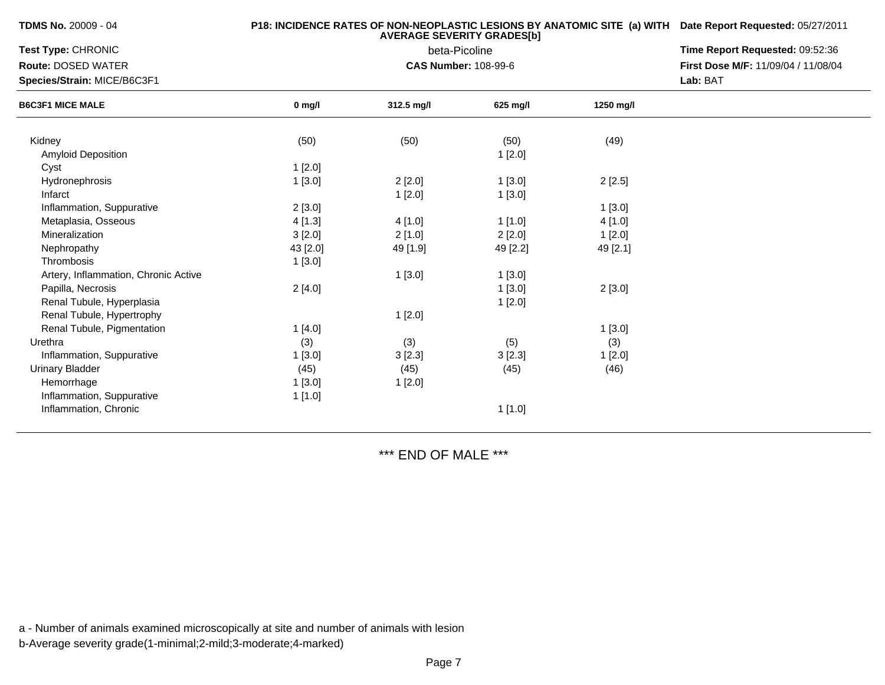| <b>TDMS No. 20009 - 04</b> |  |  |  |  |  |
|----------------------------|--|--|--|--|--|
|----------------------------|--|--|--|--|--|

## **P18: INCIDENCE RATES OF NON-NEOPLASTIC LESIONS BY ANATOMIC SITE (a) WITH AVERAGE SEVERITY GRADES[b] Date Report Requested:** 05/27/2011

| <b>Test Type: CHRONIC</b>            |          | Time Report Requested: 09:52:36 |          |           |                                     |
|--------------------------------------|----------|---------------------------------|----------|-----------|-------------------------------------|
| <b>Route: DOSED WATER</b>            |          | <b>CAS Number: 108-99-6</b>     |          |           | First Dose M/F: 11/09/04 / 11/08/04 |
| Species/Strain: MICE/B6C3F1          |          |                                 | Lab: BAT |           |                                     |
| <b>B6C3F1 MICE MALE</b>              | $0$ mg/l | 312.5 mg/l                      | 625 mg/l | 1250 mg/l |                                     |
| Kidney                               | (50)     | (50)                            | (50)     | (49)      |                                     |
| Amyloid Deposition                   |          |                                 | 1[2.0]   |           |                                     |
| Cyst                                 | 1[2.0]   |                                 |          |           |                                     |
| Hydronephrosis                       | 1[3.0]   | 2[2.0]                          | 1[3.0]   | 2[2.5]    |                                     |
| Infarct                              |          | 1[2.0]                          | 1[3.0]   |           |                                     |
| Inflammation, Suppurative            | 2[3.0]   |                                 |          | 1[3.0]    |                                     |
| Metaplasia, Osseous                  | 4[1.3]   | 4[1.0]                          | 1[1.0]   | 4 [1.0]   |                                     |
| Mineralization                       | 3[2.0]   | 2[1.0]                          | 2[2.0]   | 1[2.0]    |                                     |
| Nephropathy                          | 43 [2.0] | 49 [1.9]                        | 49 [2.2] | 49 [2.1]  |                                     |
| Thrombosis                           | 1[3.0]   |                                 |          |           |                                     |
| Artery, Inflammation, Chronic Active |          | 1[3.0]                          | 1[3.0]   |           |                                     |
| Papilla, Necrosis                    | 2[4.0]   |                                 | 1[3.0]   | 2[3.0]    |                                     |
| Renal Tubule, Hyperplasia            |          |                                 | 1[2.0]   |           |                                     |
| Renal Tubule, Hypertrophy            |          | 1[2.0]                          |          |           |                                     |
| Renal Tubule, Pigmentation           | 1[4.0]   |                                 |          | 1[3.0]    |                                     |
| Urethra                              | (3)      | (3)                             | (5)      | (3)       |                                     |
| Inflammation, Suppurative            | 1[3.0]   | 3[2.3]                          | 3[2.3]   | 1[2.0]    |                                     |
| <b>Urinary Bladder</b>               | (45)     | (45)                            | (45)     | (46)      |                                     |
| Hemorrhage                           | 1[3.0]   | 1[2.0]                          |          |           |                                     |
| Inflammation, Suppurative            | 1[1.0]   |                                 |          |           |                                     |
| Inflammation, Chronic                |          |                                 | 1[1.0]   |           |                                     |

\*\*\* END OF MALE \*\*\*

a - Number of animals examined microscopically at site and number of animals with lesion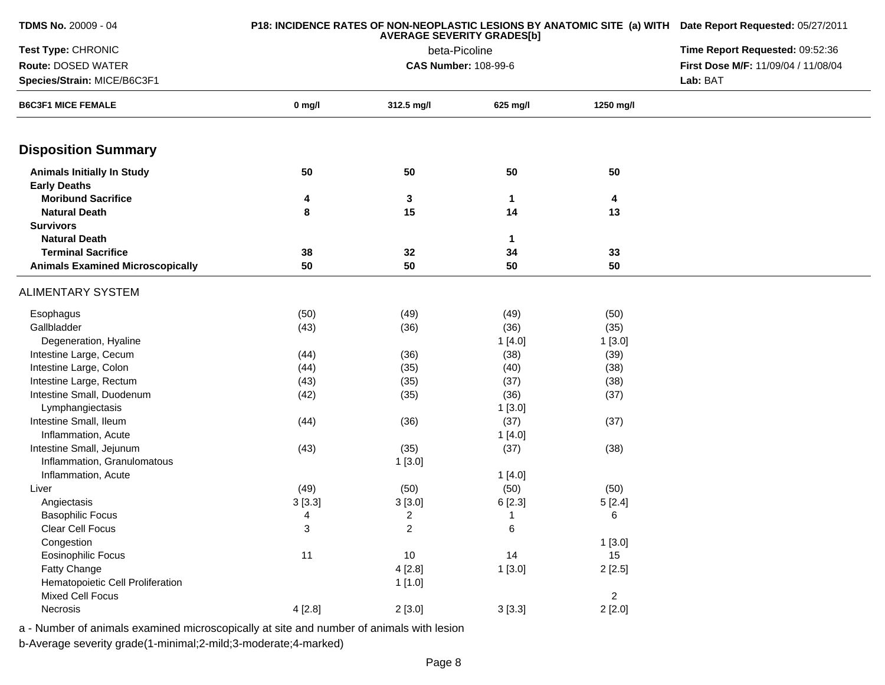| <b>TDMS No. 20009 - 04</b><br>P18: INCIDENCE RATES OF NON-NEOPLASTIC LESIONS BY ANATOMIC SITE (a) WITH Date Report Requested: 05/27/2011<br><b>AVERAGE SEVERITY GRADES[b]</b> |          |                |                                     |                |          |
|-------------------------------------------------------------------------------------------------------------------------------------------------------------------------------|----------|----------------|-------------------------------------|----------------|----------|
| Test Type: CHRONIC                                                                                                                                                            |          |                | Time Report Requested: 09:52:36     |                |          |
| Route: DOSED WATER                                                                                                                                                            |          |                | First Dose M/F: 11/09/04 / 11/08/04 |                |          |
| Species/Strain: MICE/B6C3F1                                                                                                                                                   |          |                |                                     |                | Lab: BAT |
| <b>B6C3F1 MICE FEMALE</b>                                                                                                                                                     | $0$ mg/l | 312.5 mg/l     | 625 mg/l                            | 1250 mg/l      |          |
| <b>Disposition Summary</b>                                                                                                                                                    |          |                |                                     |                |          |
| <b>Animals Initially In Study</b>                                                                                                                                             | 50       | 50             | 50                                  | 50             |          |
| <b>Early Deaths</b>                                                                                                                                                           |          |                |                                     |                |          |
| <b>Moribund Sacrifice</b>                                                                                                                                                     | 4        | 3              | $\mathbf{1}$                        | 4              |          |
| <b>Natural Death</b>                                                                                                                                                          | 8        | 15             | 14                                  | 13             |          |
| <b>Survivors</b>                                                                                                                                                              |          |                |                                     |                |          |
| <b>Natural Death</b>                                                                                                                                                          |          |                | $\mathbf 1$                         |                |          |
| <b>Terminal Sacrifice</b>                                                                                                                                                     | 38       | 32             | 34                                  | 33             |          |
| <b>Animals Examined Microscopically</b>                                                                                                                                       | 50       | 50             | 50                                  | 50             |          |
| <b>ALIMENTARY SYSTEM</b>                                                                                                                                                      |          |                |                                     |                |          |
| Esophagus                                                                                                                                                                     | (50)     | (49)           | (49)                                | (50)           |          |
| Gallbladder                                                                                                                                                                   | (43)     | (36)           | (36)                                | (35)           |          |
| Degeneration, Hyaline                                                                                                                                                         |          |                | 1[4.0]                              | 1[3.0]         |          |
| Intestine Large, Cecum                                                                                                                                                        | (44)     | (36)           | (38)                                | (39)           |          |
| Intestine Large, Colon                                                                                                                                                        | (44)     | (35)           | (40)                                | (38)           |          |
| Intestine Large, Rectum                                                                                                                                                       | (43)     | (35)           | (37)                                | (38)           |          |
| Intestine Small, Duodenum                                                                                                                                                     | (42)     | (35)           | (36)                                | (37)           |          |
| Lymphangiectasis                                                                                                                                                              |          |                | 1[3.0]                              |                |          |
| Intestine Small, Ileum                                                                                                                                                        | (44)     | (36)           | (37)                                | (37)           |          |
| Inflammation, Acute                                                                                                                                                           |          |                | 1[4.0]                              |                |          |
| Intestine Small, Jejunum                                                                                                                                                      | (43)     | (35)           | (37)                                | (38)           |          |
| Inflammation, Granulomatous                                                                                                                                                   |          | 1[3.0]         |                                     |                |          |
| Inflammation, Acute                                                                                                                                                           |          |                | 1[4.0]                              |                |          |
| Liver                                                                                                                                                                         | (49)     | (50)           | (50)                                | (50)           |          |
| Angiectasis                                                                                                                                                                   | 3[3.3]   | 3[3.0]         | 6[2.3]                              | 5[2.4]         |          |
| <b>Basophilic Focus</b>                                                                                                                                                       | 4        | $\overline{c}$ | -1                                  | 6              |          |
| Clear Cell Focus                                                                                                                                                              | 3        | $\overline{a}$ | 6                                   |                |          |
| Congestion                                                                                                                                                                    |          |                |                                     | 1[3.0]         |          |
| Eosinophilic Focus                                                                                                                                                            | 11       | $10$           | 14                                  | 15             |          |
| Fatty Change                                                                                                                                                                  |          | 4[2.8]         | 1[3.0]                              | 2[2.5]         |          |
| Hematopoietic Cell Proliferation                                                                                                                                              |          | 1[1.0]         |                                     |                |          |
| <b>Mixed Cell Focus</b>                                                                                                                                                       |          |                |                                     | $\overline{2}$ |          |
| Necrosis                                                                                                                                                                      | 4[2.8]   | 2[3.0]         | 3[3.3]                              | 2[2.0]         |          |

a - Number of animals examined microscopically at site and number of animals with lesion

b-Average severity grade(1-minimal;2-mild;3-moderate;4-marked)

**TDMS No.** 20009 - 04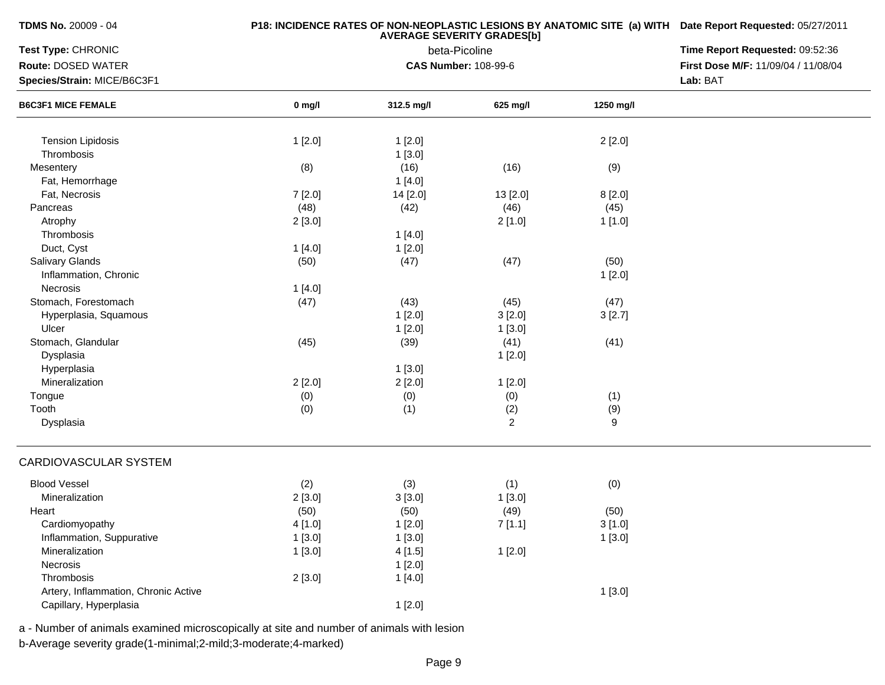**TDMS No.** 20009 - 04

## **P18: INCIDENCE RATES OF NON-NEOPLASTIC LESIONS BY ANATOMIC SITE (a) WITH AVERAGE SEVERITY GRADES[b] Date Report Requested:** 05/27/2011

| beta-Picoline<br>Route: DOSED WATER<br><b>CAS Number: 108-99-6</b><br>First Dose M/F: 11/09/04 / 11/08/04 |  |
|-----------------------------------------------------------------------------------------------------------|--|
|                                                                                                           |  |
| Species/Strain: MICE/B6C3F1<br>Lab: BAT                                                                   |  |
| <b>B6C3F1 MICE FEMALE</b><br>$0$ mg/l<br>312.5 mg/l<br>625 mg/l<br>1250 mg/l                              |  |
|                                                                                                           |  |
| 1[2.0]<br><b>Tension Lipidosis</b><br>1[2.0]<br>2[2.0]                                                    |  |
| Thrombosis<br>1[3.0]                                                                                      |  |
| (8)<br>(16)<br>(16)<br>(9)<br>Mesentery                                                                   |  |
| Fat, Hemorrhage<br>1[4.0]                                                                                 |  |
| Fat, Necrosis<br>7 [2.0]<br>14 [2.0]<br>8[2.0]<br>13 [2.0]                                                |  |
| (48)<br>(46)<br>Pancreas<br>(42)<br>(45)                                                                  |  |
| 2[1.0]<br>Atrophy<br>2[3.0]<br>1[1.0]                                                                     |  |
| Thrombosis<br>1[4.0]                                                                                      |  |
| Duct, Cyst<br>1[2.0]<br>1[4.0]                                                                            |  |
| Salivary Glands<br>(50)<br>(47)<br>(47)<br>(50)                                                           |  |
| Inflammation, Chronic<br>1[2.0]                                                                           |  |
| Necrosis<br>1[4.0]                                                                                        |  |
| Stomach, Forestomach<br>(47)<br>(43)<br>(45)<br>(47)                                                      |  |
| 1[2.0]<br>3[2.0]<br>Hyperplasia, Squamous<br>3[2.7]                                                       |  |
| Ulcer<br>1[2.0]<br>1[3.0]                                                                                 |  |
| Stomach, Glandular<br>(41)<br>(41)<br>(45)<br>(39)                                                        |  |
| Dysplasia<br>1[2.0]                                                                                       |  |
| Hyperplasia<br>1[3.0]                                                                                     |  |
| Mineralization<br>2[2.0]<br>2[2.0]<br>1[2.0]                                                              |  |
| (0)<br>(0)<br>(0)<br>(1)<br>Tongue                                                                        |  |
| Tooth<br>(9)<br>(0)<br>(1)<br>(2)                                                                         |  |
| $\overline{2}$<br>9<br>Dysplasia                                                                          |  |
| CARDIOVASCULAR SYSTEM                                                                                     |  |
| <b>Blood Vessel</b><br>(2)<br>(3)<br>(1)<br>(0)                                                           |  |
| Mineralization<br>2[3.0]<br>3[3.0]<br>1[3.0]                                                              |  |
| (50)<br>(49)<br>Heart<br>(50)<br>(50)                                                                     |  |
| Cardiomyopathy<br>4[1.0]<br>1[2.0]<br>7[1.1]<br>3[1.0]                                                    |  |
| 1[3.0]<br>1[3.0]<br>Inflammation, Suppurative<br>1[3.0]                                                   |  |
| 1[2.0]<br>Mineralization<br>1[3.0]<br>4[1.5]                                                              |  |
| Necrosis<br>1[2.0]                                                                                        |  |
| Thrombosis<br>2[3.0]<br>1[4.0]                                                                            |  |
| Artery, Inflammation, Chronic Active<br>1[3.0]                                                            |  |
| Capillary, Hyperplasia<br>1[2.0]                                                                          |  |

a - Number of animals examined microscopically at site and number of animals with lesion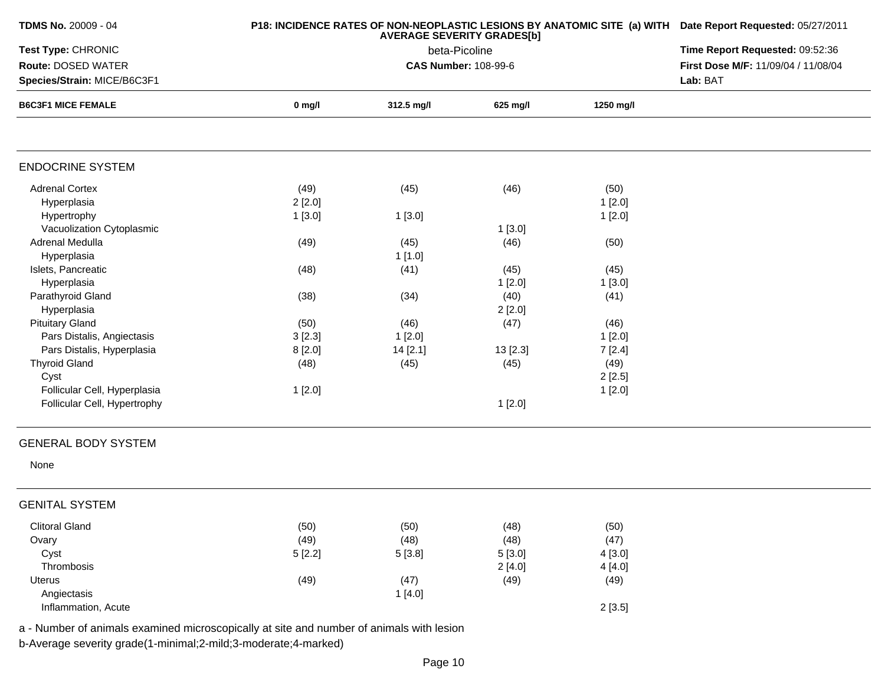| <b>TDMS No. 20009 - 04</b>                                                               |          | P18: INCIDENCE RATES OF NON-NEOPLASTIC LESIONS BY ANATOMIC SITE (a) WITH Date Report Requested: 05/27/2011 |          |           |                                     |
|------------------------------------------------------------------------------------------|----------|------------------------------------------------------------------------------------------------------------|----------|-----------|-------------------------------------|
| Test Type: CHRONIC                                                                       |          | Time Report Requested: 09:52:36                                                                            |          |           |                                     |
| <b>Route: DOSED WATER</b>                                                                |          | <b>CAS Number: 108-99-6</b>                                                                                |          |           | First Dose M/F: 11/09/04 / 11/08/04 |
| Species/Strain: MICE/B6C3F1                                                              |          |                                                                                                            |          |           | Lab: BAT                            |
| <b>B6C3F1 MICE FEMALE</b>                                                                | $0$ mg/l | 312.5 mg/l                                                                                                 | 625 mg/l | 1250 mg/l |                                     |
|                                                                                          |          |                                                                                                            |          |           |                                     |
| <b>ENDOCRINE SYSTEM</b>                                                                  |          |                                                                                                            |          |           |                                     |
| <b>Adrenal Cortex</b>                                                                    | (49)     | (45)                                                                                                       | (46)     | (50)      |                                     |
| Hyperplasia                                                                              | 2[2.0]   |                                                                                                            |          | 1[2.0]    |                                     |
| Hypertrophy                                                                              | 1[3.0]   | 1[3.0]                                                                                                     |          | 1[2.0]    |                                     |
| Vacuolization Cytoplasmic                                                                |          |                                                                                                            | 1[3.0]   |           |                                     |
| Adrenal Medulla                                                                          | (49)     | (45)                                                                                                       | (46)     | (50)      |                                     |
| Hyperplasia                                                                              |          | 1[1.0]                                                                                                     |          |           |                                     |
| Islets, Pancreatic                                                                       | (48)     | (41)                                                                                                       | (45)     | (45)      |                                     |
| Hyperplasia                                                                              |          |                                                                                                            | 1[2.0]   | 1[3.0]    |                                     |
| Parathyroid Gland                                                                        | (38)     | (34)                                                                                                       | (40)     | (41)      |                                     |
| Hyperplasia                                                                              |          |                                                                                                            | 2[2.0]   |           |                                     |
| <b>Pituitary Gland</b>                                                                   | (50)     | (46)                                                                                                       | (47)     | (46)      |                                     |
| Pars Distalis, Angiectasis                                                               | 3[2.3]   | 1[2.0]                                                                                                     |          | 1[2.0]    |                                     |
| Pars Distalis, Hyperplasia                                                               | 8[2.0]   | 14 [2.1]                                                                                                   | 13 [2.3] | 7[2.4]    |                                     |
| <b>Thyroid Gland</b>                                                                     | (48)     | (45)                                                                                                       | (45)     | (49)      |                                     |
| Cyst                                                                                     |          |                                                                                                            |          | 2[2.5]    |                                     |
| Follicular Cell, Hyperplasia                                                             | 1[2.0]   |                                                                                                            |          | 1[2.0]    |                                     |
| Follicular Cell, Hypertrophy                                                             |          |                                                                                                            | 1[2.0]   |           |                                     |
|                                                                                          |          |                                                                                                            |          |           |                                     |
| <b>GENERAL BODY SYSTEM</b>                                                               |          |                                                                                                            |          |           |                                     |
| None                                                                                     |          |                                                                                                            |          |           |                                     |
| <b>GENITAL SYSTEM</b>                                                                    |          |                                                                                                            |          |           |                                     |
| <b>Clitoral Gland</b>                                                                    | (50)     | (50)                                                                                                       | (48)     | (50)      |                                     |
| Ovary                                                                                    | (49)     | (48)                                                                                                       | (48)     | (47)      |                                     |
| Cyst                                                                                     | 5[2.2]   | 5 [3.8]                                                                                                    | 5[3.0]   | 4 [3.0]   |                                     |
| Thrombosis                                                                               |          |                                                                                                            | 2[4.0]   | 4 [4.0]   |                                     |
| Uterus                                                                                   | (49)     | (47)                                                                                                       | (49)     | (49)      |                                     |
| Angiectasis                                                                              |          | 1[4.0]                                                                                                     |          |           |                                     |
| Inflammation, Acute                                                                      |          |                                                                                                            |          | 2[3.5]    |                                     |
| a - Number of animals examined microscopically at site and number of animals with lesion |          |                                                                                                            |          |           |                                     |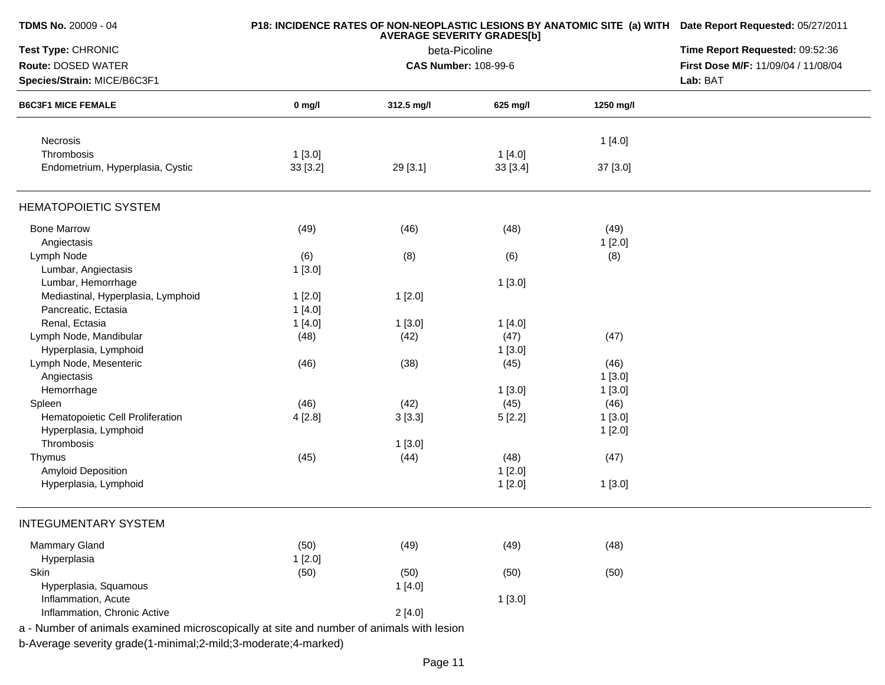| TDMS No. 20009 - 04                                                                      |          | P18: INCIDENCE RATES OF NON-NEOPLASTIC LESIONS BY ANATOMIC SITE (a) WITH Date Report Requested: 05/27/2011<br>Time Report Requested: 09:52:36 |               |           |                                     |
|------------------------------------------------------------------------------------------|----------|-----------------------------------------------------------------------------------------------------------------------------------------------|---------------|-----------|-------------------------------------|
| Test Type: CHRONIC                                                                       |          |                                                                                                                                               |               |           |                                     |
| Route: DOSED WATER                                                                       |          | <b>CAS Number: 108-99-6</b>                                                                                                                   | beta-Picoline |           | First Dose M/F: 11/09/04 / 11/08/04 |
| Species/Strain: MICE/B6C3F1<br><b>B6C3F1 MICE FEMALE</b>                                 |          | Lab: BAT                                                                                                                                      |               |           |                                     |
|                                                                                          | $0$ mg/l | 312.5 mg/l                                                                                                                                    | 625 mg/l      | 1250 mg/l |                                     |
| Necrosis                                                                                 |          |                                                                                                                                               |               | 1[4.0]    |                                     |
| Thrombosis                                                                               | 1[3.0]   |                                                                                                                                               | 1[4.0]        |           |                                     |
| Endometrium, Hyperplasia, Cystic                                                         | 33 [3.2] | 29 [3.1]                                                                                                                                      | 33 [3.4]      | 37 [3.0]  |                                     |
| <b>HEMATOPOIETIC SYSTEM</b>                                                              |          |                                                                                                                                               |               |           |                                     |
| <b>Bone Marrow</b>                                                                       | (49)     | (46)                                                                                                                                          | (48)          | (49)      |                                     |
| Angiectasis                                                                              |          |                                                                                                                                               |               | 1[2.0]    |                                     |
| Lymph Node                                                                               | (6)      | (8)                                                                                                                                           | (6)           | (8)       |                                     |
| Lumbar, Angiectasis                                                                      | 1[3.0]   |                                                                                                                                               |               |           |                                     |
| Lumbar, Hemorrhage                                                                       |          |                                                                                                                                               | 1[3.0]        |           |                                     |
| Mediastinal, Hyperplasia, Lymphoid                                                       | 1[2.0]   | 1[2.0]                                                                                                                                        |               |           |                                     |
| Pancreatic, Ectasia                                                                      | 1[4.0]   |                                                                                                                                               |               |           |                                     |
| Renal, Ectasia                                                                           | 1[4.0]   | 1[3.0]                                                                                                                                        | 1[4.0]        |           |                                     |
| Lymph Node, Mandibular                                                                   | (48)     | (42)                                                                                                                                          | (47)          | (47)      |                                     |
| Hyperplasia, Lymphoid                                                                    |          |                                                                                                                                               | 1[3.0]        |           |                                     |
| Lymph Node, Mesenteric                                                                   | (46)     | (38)                                                                                                                                          | (45)          | (46)      |                                     |
| Angiectasis                                                                              |          |                                                                                                                                               |               | 1[3.0]    |                                     |
| Hemorrhage                                                                               |          |                                                                                                                                               | 1[3.0]        | 1[3.0]    |                                     |
| Spleen                                                                                   | (46)     | (42)                                                                                                                                          | (45)          | (46)      |                                     |
| Hematopoietic Cell Proliferation                                                         | 4 [2.8]  | 3[3.3]                                                                                                                                        | 5[2.2]        | 1[3.0]    |                                     |
| Hyperplasia, Lymphoid                                                                    |          |                                                                                                                                               |               |           |                                     |
| Thrombosis                                                                               |          |                                                                                                                                               |               | 1[2.0]    |                                     |
|                                                                                          |          | 1[3.0]                                                                                                                                        |               |           |                                     |
| Thymus                                                                                   | (45)     | (44)                                                                                                                                          | (48)          | (47)      |                                     |
| Amyloid Deposition                                                                       |          |                                                                                                                                               | 1[2.0]        |           |                                     |
| Hyperplasia, Lymphoid                                                                    |          |                                                                                                                                               | 1[2.0]        | 1[3.0]    |                                     |
| <b>INTEGUMENTARY SYSTEM</b>                                                              |          |                                                                                                                                               |               |           |                                     |
| <b>Mammary Gland</b>                                                                     | (50)     | (49)                                                                                                                                          | (49)          | (48)      |                                     |
| Hyperplasia                                                                              | 1[2.0]   |                                                                                                                                               |               |           |                                     |
| Skin                                                                                     | (50)     | (50)                                                                                                                                          | (50)          | (50)      |                                     |
| Hyperplasia, Squamous                                                                    |          | 1[4.0]                                                                                                                                        |               |           |                                     |
| Inflammation, Acute                                                                      |          |                                                                                                                                               | 1[3.0]        |           |                                     |
| Inflammation, Chronic Active                                                             |          | 2[4.0]                                                                                                                                        |               |           |                                     |
| a - Number of animals examined microscopically at site and number of animals with lesion |          |                                                                                                                                               |               |           |                                     |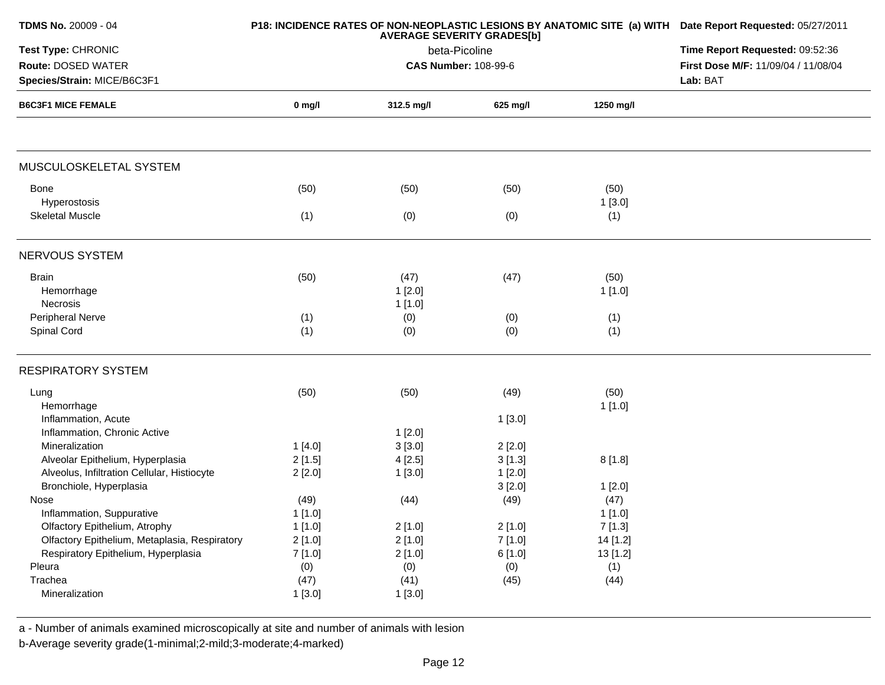| <b>TDMS No. 20009 - 04</b>                               |          | <b>P18: INCIDENCE RATES OF NON-NEOPLASTIC LESIONS BY ANATOMIC SITE (a) WITH Date Report Requested: 05/27/2011</b> |                                 |                                                 |  |
|----------------------------------------------------------|----------|-------------------------------------------------------------------------------------------------------------------|---------------------------------|-------------------------------------------------|--|
| Test Type: CHRONIC                                       |          | beta-Picoline                                                                                                     | Time Report Requested: 09:52:36 |                                                 |  |
| Route: DOSED WATER                                       |          | <b>CAS Number: 108-99-6</b>                                                                                       |                                 | First Dose M/F: 11/09/04 / 11/08/04<br>Lab: BAT |  |
| Species/Strain: MICE/B6C3F1<br><b>B6C3F1 MICE FEMALE</b> |          |                                                                                                                   |                                 |                                                 |  |
|                                                          | $0$ mg/l | 312.5 mg/l                                                                                                        | 625 mg/l                        | 1250 mg/l                                       |  |
| MUSCULOSKELETAL SYSTEM                                   |          |                                                                                                                   |                                 |                                                 |  |
| Bone                                                     | (50)     | (50)                                                                                                              | (50)                            | (50)                                            |  |
| Hyperostosis                                             |          |                                                                                                                   |                                 | 1[3.0]                                          |  |
| <b>Skeletal Muscle</b>                                   | (1)      | (0)                                                                                                               | (0)                             | (1)                                             |  |
| NERVOUS SYSTEM                                           |          |                                                                                                                   |                                 |                                                 |  |
| <b>Brain</b>                                             | (50)     | (47)                                                                                                              | (47)                            | (50)                                            |  |
| Hemorrhage                                               |          | 1[2.0]                                                                                                            |                                 | 1[1.0]                                          |  |
| Necrosis                                                 |          | 1[1.0]                                                                                                            |                                 |                                                 |  |
| Peripheral Nerve                                         | (1)      | (0)                                                                                                               | (0)                             | (1)                                             |  |
| Spinal Cord                                              | (1)      | (0)                                                                                                               | (0)                             | (1)                                             |  |
| <b>RESPIRATORY SYSTEM</b>                                |          |                                                                                                                   |                                 |                                                 |  |
| Lung                                                     | (50)     | (50)                                                                                                              | (49)                            | (50)                                            |  |
| Hemorrhage                                               |          |                                                                                                                   |                                 | 1[1.0]                                          |  |
| Inflammation, Acute                                      |          |                                                                                                                   | 1[3.0]                          |                                                 |  |
| Inflammation, Chronic Active                             |          | 1[2.0]                                                                                                            |                                 |                                                 |  |
| Mineralization                                           | 1[4.0]   | 3[3.0]                                                                                                            | 2[2.0]                          |                                                 |  |
| Alveolar Epithelium, Hyperplasia                         | 2[1.5]   | 4[2.5]                                                                                                            | 3[1.3]                          | 8[1.8]                                          |  |
| Alveolus, Infiltration Cellular, Histiocyte              | 2[2.0]   | 1[3.0]                                                                                                            | 1[2.0]                          |                                                 |  |
| Bronchiole, Hyperplasia                                  |          |                                                                                                                   | 3[2.0]                          | 1[2.0]                                          |  |
| Nose                                                     | (49)     | (44)                                                                                                              | (49)                            | (47)                                            |  |
| Inflammation, Suppurative                                | 1[1.0]   |                                                                                                                   |                                 | 1[1.0]                                          |  |
| Olfactory Epithelium, Atrophy                            | 1[1.0]   | 2[1.0]                                                                                                            | 2[1.0]                          | 7[1.3]                                          |  |
| Olfactory Epithelium, Metaplasia, Respiratory            | 2[1.0]   | 2[1.0]                                                                                                            | 7[1.0]                          | 14 [1.2]                                        |  |
| Respiratory Epithelium, Hyperplasia                      | 7[1.0]   | 2[1.0]                                                                                                            | 6[1.0]                          | 13 [1.2]                                        |  |
| Pleura                                                   | (0)      | (0)                                                                                                               | (0)                             | (1)                                             |  |
| Trachea                                                  | (47)     | (41)                                                                                                              | (45)                            | (44)                                            |  |
| Mineralization                                           | 1[3.0]   | 1[3.0]                                                                                                            |                                 |                                                 |  |

a - Number of animals examined microscopically at site and number of animals with lesion